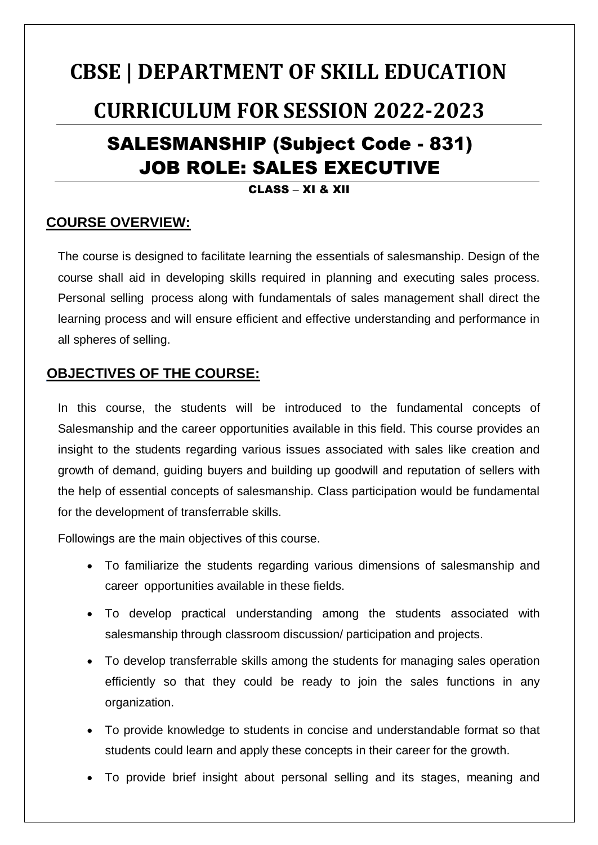# **CBSE | DEPARTMENT OF SKILL EDUCATION CURRICULUM FOR SESSION 2022-2023** SALESMANSHIP (Subject Code - 831) JOB ROLE: SALES EXECUTIVE

#### CLASS – XI & XII

## **COURSE OVERVIEW:**

The course is designed to facilitate learning the essentials of salesmanship. Design of the course shall aid in developing skills required in planning and executing sales process. Personal selling process along with fundamentals of sales management shall direct the learning process and will ensure efficient and effective understanding and performance in all spheres of selling.

## **OBJECTIVES OF THE COURSE:**

In this course, the students will be introduced to the fundamental concepts of Salesmanship and the career opportunities available in this field. This course provides an insight to the students regarding various issues associated with sales like creation and growth of demand, guiding buyers and building up goodwill and reputation of sellers with the help of essential concepts of salesmanship. Class participation would be fundamental for the development of transferrable skills.

Followings are the main objectives of this course.

- To familiarize the students regarding various dimensions of salesmanship and career opportunities available in these fields.
- To develop practical understanding among the students associated with salesmanship through classroom discussion/ participation and projects.
- To develop transferrable skills among the students for managing sales operation efficiently so that they could be ready to join the sales functions in any organization.
- To provide knowledge to students in concise and understandable format so that students could learn and apply these concepts in their career for the growth.
- To provide brief insight about personal selling and its stages, meaning and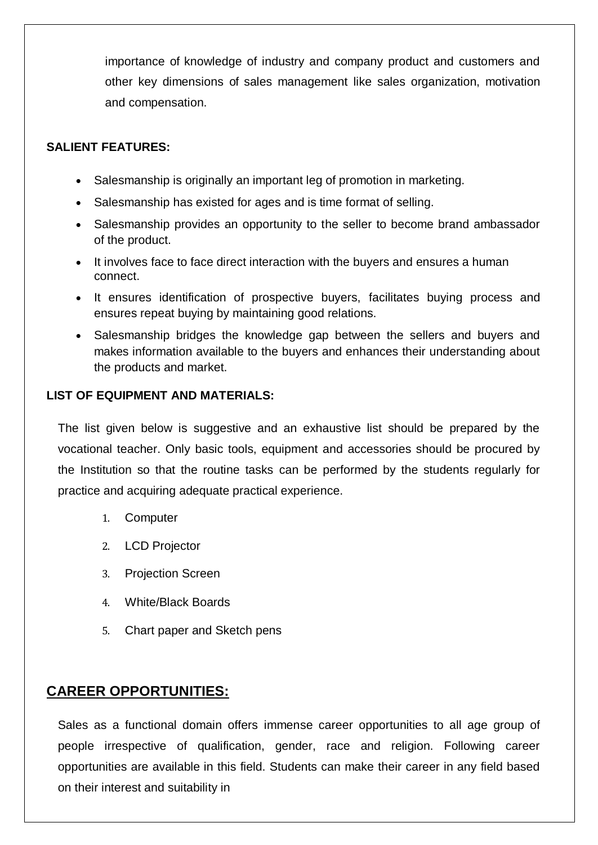importance of knowledge of industry and company product and customers and other key dimensions of sales management like sales organization, motivation and compensation.

#### **SALIENT FEATURES:**

- Salesmanship is originally an important leg of promotion in marketing.
- Salesmanship has existed for ages and is time format of selling.
- Salesmanship provides an opportunity to the seller to become brand ambassador of the product.
- It involves face to face direct interaction with the buyers and ensures a human connect.
- It ensures identification of prospective buyers, facilitates buying process and ensures repeat buying by maintaining good relations.
- Salesmanship bridges the knowledge gap between the sellers and buyers and makes information available to the buyers and enhances their understanding about the products and market.

#### **LIST OF EQUIPMENT AND MATERIALS:**

The list given below is suggestive and an exhaustive list should be prepared by the vocational teacher. Only basic tools, equipment and accessories should be procured by the Institution so that the routine tasks can be performed by the students regularly for practice and acquiring adequate practical experience.

- 1. Computer
- 2. LCD Projector
- 3. Projection Screen
- 4. White/Black Boards
- 5. Chart paper and Sketch pens

## **CAREER OPPORTUNITIES:**

Sales as a functional domain offers immense career opportunities to all age group of people irrespective of qualification, gender, race and religion. Following career opportunities are available in this field. Students can make their career in any field based on their interest and suitability in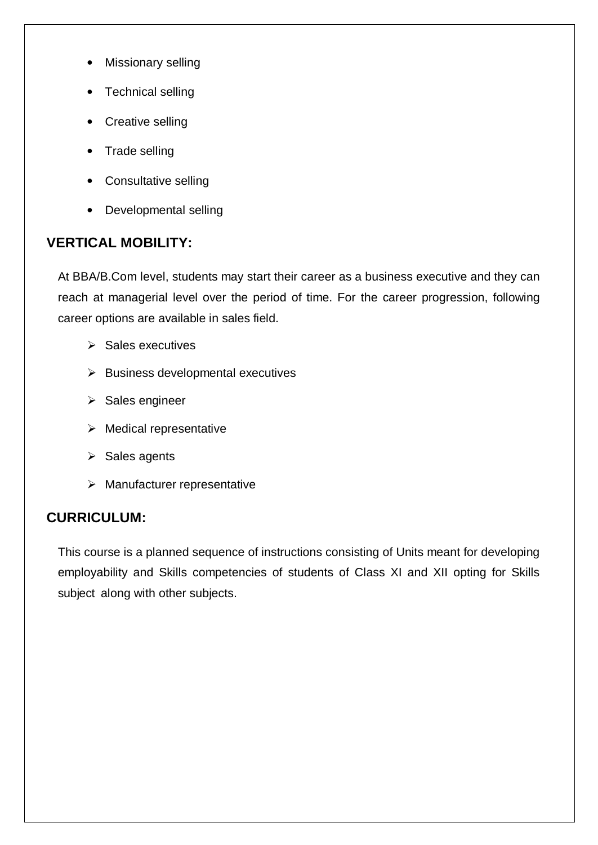- Missionary selling
- Technical selling
- Creative selling
- Trade selling
- Consultative selling
- Developmental selling

## **VERTICAL MOBILITY:**

At BBA/B.Com level, students may start their career as a business executive and they can reach at managerial level over the period of time. For the career progression, following career options are available in sales field.

- $\triangleright$  Sales executives
- $\triangleright$  Business developmental executives
- $\triangleright$  Sales engineer
- $\triangleright$  Medical representative
- $\triangleright$  Sales agents
- $\triangleright$  Manufacturer representative

## **CURRICULUM:**

This course is a planned sequence of instructions consisting of Units meant for developing employability and Skills competencies of students of Class XI and XII opting for Skills subject along with other subjects.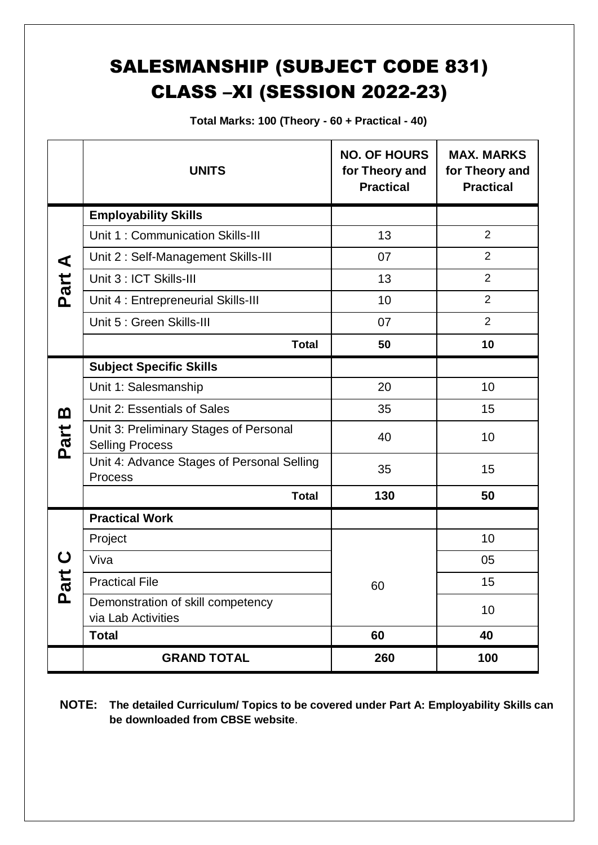## SALESMANSHIP (SUBJECT CODE 831) CLASS –XI (SESSION 2022-23)

**Total Marks: 100 (Theory - 60 + Practical - 40)**

|                     | <b>UNITS</b>                                                     | <b>NO. OF HOURS</b><br>for Theory and<br><b>Practical</b> | <b>MAX. MARKS</b><br>for Theory and<br><b>Practical</b> |
|---------------------|------------------------------------------------------------------|-----------------------------------------------------------|---------------------------------------------------------|
|                     | <b>Employability Skills</b>                                      |                                                           |                                                         |
|                     | Unit 1: Communication Skills-III                                 | 13                                                        | 2                                                       |
| ⋖                   | Unit 2: Self-Management Skills-III                               | 07                                                        | $\overline{2}$                                          |
| Part                | Unit 3 : ICT Skills-III                                          | 13                                                        | $\overline{2}$                                          |
|                     | Unit 4 : Entrepreneurial Skills-III                              | 10                                                        | $\overline{2}$                                          |
|                     | Unit 5 : Green Skills-III                                        | 07                                                        | $\overline{2}$                                          |
|                     | <b>Total</b>                                                     | 50                                                        | 10                                                      |
|                     | <b>Subject Specific Skills</b>                                   |                                                           |                                                         |
| <u>ന</u><br>Part    | Unit 1: Salesmanship                                             | 20                                                        | 10 <sup>1</sup>                                         |
|                     | Unit 2: Essentials of Sales                                      | 35                                                        | 15                                                      |
|                     | Unit 3: Preliminary Stages of Personal<br><b>Selling Process</b> | 40                                                        | 10                                                      |
|                     | Unit 4: Advance Stages of Personal Selling<br><b>Process</b>     | 35                                                        | 15                                                      |
|                     | <b>Total</b>                                                     | 130                                                       | 50                                                      |
|                     | <b>Practical Work</b>                                            |                                                           |                                                         |
|                     | Project                                                          |                                                           | 10                                                      |
| t<br>Ta<br><u>ሲ</u> | Viva                                                             |                                                           | 05                                                      |
|                     | <b>Practical File</b>                                            | 60                                                        | 15                                                      |
|                     | Demonstration of skill competency<br>via Lab Activities          |                                                           | 10                                                      |
|                     | <b>Total</b>                                                     | 60                                                        | 40                                                      |
|                     | <b>GRAND TOTAL</b>                                               | 260                                                       | 100                                                     |

**NOTE: The detailed Curriculum/ Topics to be covered under Part A: Employability Skills can be downloaded from CBSE website**.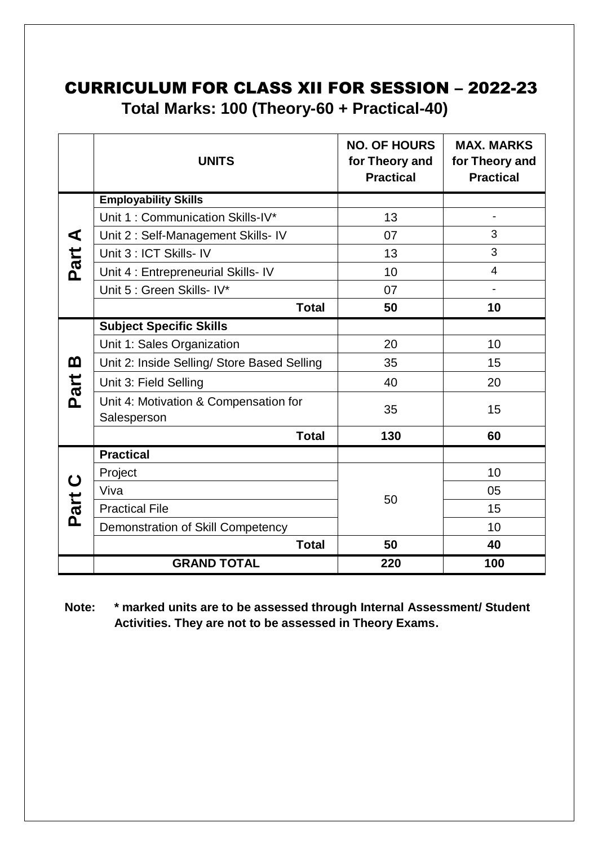## CURRICULUM FOR CLASS XII FOR SESSION – 2022-23 **Total Marks: 100 (Theory-60 + Practical-40)**

|           | <b>UNITS</b>                                         | <b>NO. OF HOURS</b><br>for Theory and<br><b>Practical</b> | <b>MAX. MARKS</b><br>for Theory and<br><b>Practical</b> |
|-----------|------------------------------------------------------|-----------------------------------------------------------|---------------------------------------------------------|
|           | <b>Employability Skills</b>                          |                                                           |                                                         |
|           | Unit 1: Communication Skills-IV*                     | 13                                                        |                                                         |
| ⋖         | Unit 2: Self-Management Skills- IV                   | 07                                                        | 3                                                       |
|           | Unit 3 : ICT Skills- IV                              | 13                                                        | 3                                                       |
| Part      | Unit 4 : Entrepreneurial Skills- IV                  | 10                                                        | $\overline{4}$                                          |
|           | Unit 5 : Green Skills- IV*                           | 07                                                        | $\overline{\phantom{0}}$                                |
|           | <b>Total</b>                                         | 50                                                        | 10                                                      |
|           | <b>Subject Specific Skills</b>                       |                                                           |                                                         |
|           | Unit 1: Sales Organization                           | 20                                                        | 10                                                      |
| മ<br>Part | Unit 2: Inside Selling/ Store Based Selling          | 35                                                        | 15                                                      |
|           | Unit 3: Field Selling                                | 40                                                        | 20                                                      |
|           | Unit 4: Motivation & Compensation for<br>Salesperson | 35                                                        | 15                                                      |
|           | <b>Total</b>                                         | 130                                                       | 60                                                      |
|           | <b>Practical</b>                                     |                                                           |                                                         |
|           | Project                                              |                                                           | 10                                                      |
| Part      | Viva                                                 | 50                                                        | 05                                                      |
|           | <b>Practical File</b>                                |                                                           | 15                                                      |
|           | Demonstration of Skill Competency                    |                                                           | 10                                                      |
|           | <b>Total</b>                                         | 50                                                        | 40                                                      |
|           | <b>GRAND TOTAL</b>                                   | 220                                                       | 100                                                     |

**Note: \* marked units are to be assessed through Internal Assessment/ Student Activities. They are not to be assessed in Theory Exams.**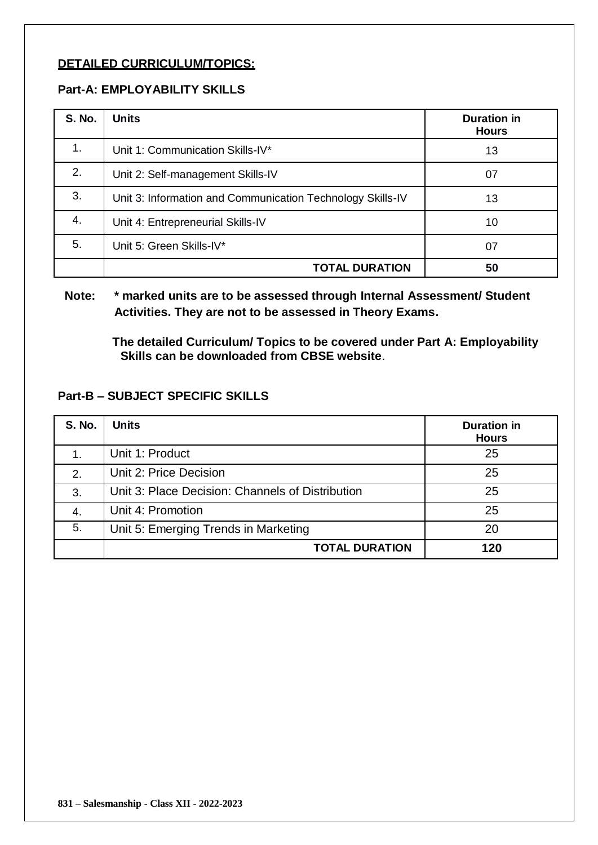#### **DETAILED CURRICULUM/TOPICS:**

#### **Part-A: EMPLOYABILITY SKILLS**

| <b>S. No.</b> | <b>Units</b>                                               | <b>Duration in</b><br><b>Hours</b> |
|---------------|------------------------------------------------------------|------------------------------------|
| 1.            | Unit 1: Communication Skills-IV*                           | 13                                 |
| 2.            | Unit 2: Self-management Skills-IV                          | 07                                 |
| 3.            | Unit 3: Information and Communication Technology Skills-IV | 13                                 |
| 4.            | Unit 4: Entrepreneurial Skills-IV                          | 10                                 |
| 5.            | Unit 5: Green Skills-IV*                                   | 07                                 |
|               | <b>TOTAL DURATION</b>                                      | 50                                 |

#### **Note: \* marked units are to be assessed through Internal Assessment/ Student Activities. They are not to be assessed in Theory Exams.**

**The detailed Curriculum/ Topics to be covered under Part A: Employability Skills can be downloaded from CBSE website**.

#### **Part-B – SUBJECT SPECIFIC SKILLS**

| <b>S. No.</b> | <b>Units</b>                                     | <b>Duration in</b><br><b>Hours</b> |
|---------------|--------------------------------------------------|------------------------------------|
|               | Unit 1: Product                                  | 25                                 |
| 2.            | Unit 2: Price Decision                           | 25                                 |
| 3.            | Unit 3: Place Decision: Channels of Distribution | 25                                 |
| 4.            | Unit 4: Promotion                                | 25                                 |
| 5.            | Unit 5: Emerging Trends in Marketing             | 20                                 |
|               | <b>TOTAL DURATION</b>                            | 120                                |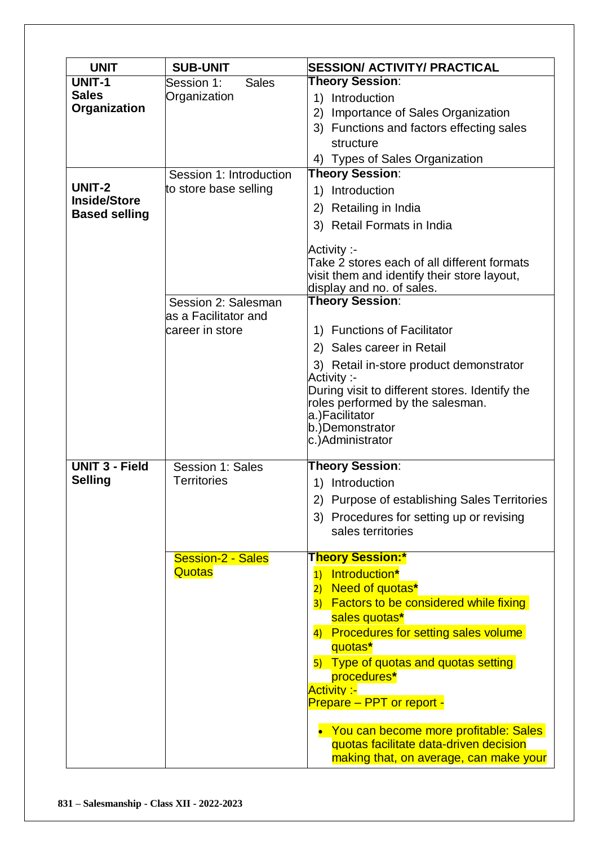| <b>UNIT</b>                                           | <b>SUB-UNIT</b>                                                       | <b>SESSION/ ACTIVITY/ PRACTICAL</b>                                                                                                                                                                                                                                                                                                                                                                                         |
|-------------------------------------------------------|-----------------------------------------------------------------------|-----------------------------------------------------------------------------------------------------------------------------------------------------------------------------------------------------------------------------------------------------------------------------------------------------------------------------------------------------------------------------------------------------------------------------|
| <b>UNIT-1</b><br><b>Sales</b><br>Organization         | <b>Sales</b><br>Session 1:<br>Organization<br>Session 1: Introduction | <b>Theory Session:</b><br>1) Introduction<br>Importance of Sales Organization<br>2)<br>3) Functions and factors effecting sales<br>structure<br>4) Types of Sales Organization<br><b>Theory Session:</b>                                                                                                                                                                                                                    |
| UNIT-2<br><b>Inside/Store</b><br><b>Based selling</b> | to store base selling                                                 | 1) Introduction<br>2) Retailing in India<br>3) Retail Formats in India<br>Activity :-<br>Take 2 stores each of all different formats<br>visit them and identify their store layout,<br>display and no. of sales.                                                                                                                                                                                                            |
|                                                       | Session 2: Salesman<br>as a Facilitator and<br>career in store        | <b>Theory Session:</b><br>1) Functions of Facilitator<br>2) Sales career in Retail<br>3) Retail in-store product demonstrator<br>Activity :-<br>During visit to different stores. Identify the<br>roles performed by the salesman.<br>a.)Facilitator<br>b.)Demonstrator<br>c.)Administrator                                                                                                                                 |
| <b>UNIT 3 - Field</b><br><b>Selling</b>               | Session 1: Sales<br>Territories                                       | <b>Theory Session:</b><br>1) Introduction<br>2) Purpose of establishing Sales Territories<br>3) Procedures for setting up or revising<br>sales territories                                                                                                                                                                                                                                                                  |
|                                                       | Session-2 - Sales<br>Quotas                                           | <b>Theory Session:*</b><br>1) Introduction*<br>2) Need of quotas*<br>3) Factors to be considered while fixing<br>sales quotas*<br>4) Procedures for setting sales volume<br>quotas*<br>5) Type of quotas and quotas setting<br>procedures*<br><b>Activity:-</b><br>Prepare - PPT or report -<br>• You can become more profitable: Sales<br>quotas facilitate data-driven decision<br>making that, on average, can make your |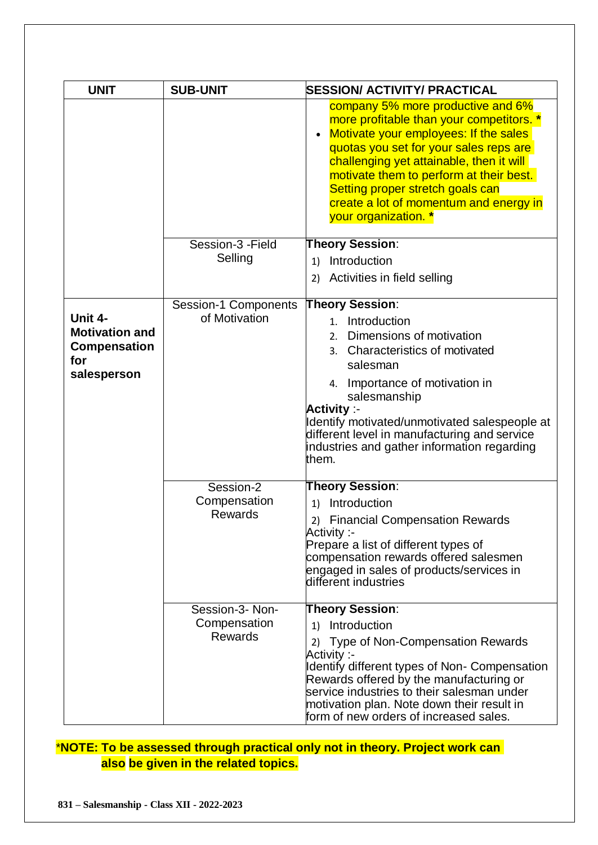| <b>UNIT</b>                                                                   | <b>SUB-UNIT</b>                                   | <b>SESSION/ ACTIVITY/ PRACTICAL</b>                                                                                                                                                                                                                                                                                                                                        |
|-------------------------------------------------------------------------------|---------------------------------------------------|----------------------------------------------------------------------------------------------------------------------------------------------------------------------------------------------------------------------------------------------------------------------------------------------------------------------------------------------------------------------------|
|                                                                               |                                                   | company 5% more productive and 6%<br>more profitable than your competitors. *<br>Motivate your employees: If the sales<br>$\bullet$<br>quotas you set for your sales reps are<br>challenging yet attainable, then it will<br>motivate them to perform at their best.<br>Setting proper stretch goals can<br>create a lot of momentum and energy in<br>your organization. * |
|                                                                               | Session-3 - Field                                 | <b>Theory Session:</b>                                                                                                                                                                                                                                                                                                                                                     |
|                                                                               | Selling                                           | Introduction<br>1)                                                                                                                                                                                                                                                                                                                                                         |
|                                                                               |                                                   | Activities in field selling<br>2)                                                                                                                                                                                                                                                                                                                                          |
|                                                                               | <b>Session-1 Components</b>                       | <b>Theory Session:</b>                                                                                                                                                                                                                                                                                                                                                     |
| Unit 4-<br><b>Motivation and</b><br><b>Compensation</b><br>for<br>salesperson | of Motivation                                     | Introduction<br>$1_{\cdot}$<br>Dimensions of motivation<br>2.<br>3. Characteristics of motivated<br>salesman<br>4. Importance of motivation in<br>salesmanship<br><b>Activity :-</b><br>Identify motivated/unmotivated salespeople at<br>different level in manufacturing and service<br>industries and gather information regarding<br>them.                              |
|                                                                               | Session-2<br>Compensation<br><b>Rewards</b>       | <b>Theory Session:</b><br>Introduction<br>1)<br><b>Financial Compensation Rewards</b><br>2)<br>Activity :-<br>Prepare a list of different types of<br>compensation rewards offered salesmen<br>engaged in sales of products/services in<br>different industries                                                                                                            |
|                                                                               | Session-3- Non-<br>Compensation<br><b>Rewards</b> | <b>Theory Session:</b><br>Introduction<br>1)<br>2) Type of Non-Compensation Rewards<br>-: Activity<br>Identify different types of Non- Compensation<br>Rewards offered by the manufacturing or<br>service industries to their salesman under<br>motivation plan. Note down their result in<br>form of new orders of increased sales.                                       |

## \***NOTE: To be assessed through practical only not in theory. Project work can also be given in the related topics.**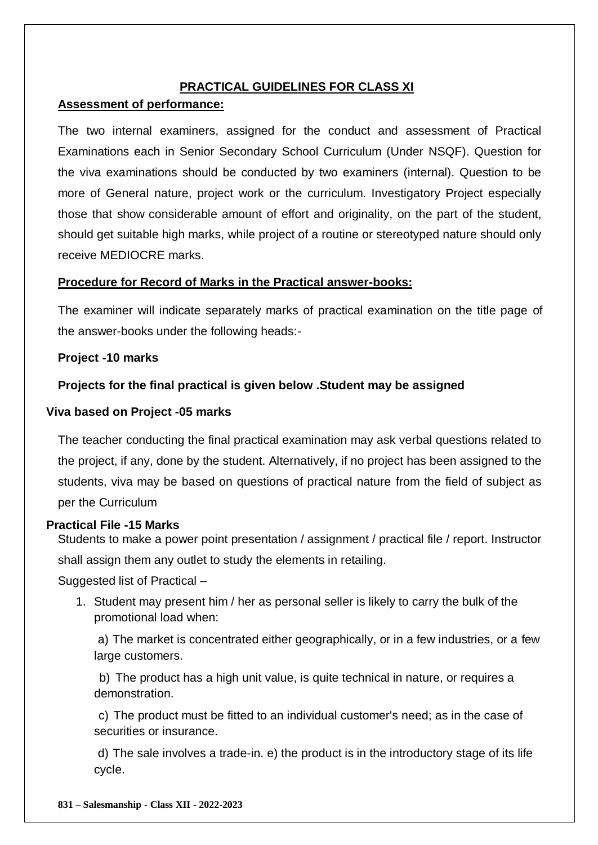#### **PRACTICAL GUIDELINES FOR CLASS XI**

#### **Assessment of performance:**

The two internal examiners, assigned for the conduct and assessment of Practical Examinations each in Senior Secondary School Curriculum (Under NSQF). Question for the viva examinations should be conducted by two examiners (internal). Question to be more of General nature, project work or the curriculum. Investigatory Project especially those that show considerable amount of effort and originality, on the part of the student, should get suitable high marks, while project of a routine or stereotyped nature should only receive MEDIOCRE marks.

#### **Procedure for Record of Marks in the Practical answer-books:**

The examiner will indicate separately marks of practical examination on the title page of the answer-books under the following heads:-

#### **Project -10 marks**

#### **Projects for the final practical is given below .Student may be assigned**

#### **Viva based on Project -05 marks**

The teacher conducting the final practical examination may ask verbal questions related to the project, if any, done by the student. Alternatively, if no project has been assigned to the students, viva may be based on questions of practical nature from the field of subject as per the Curriculum

#### **Practical File -15 Marks**

Students to make a power point presentation / assignment / practical file / report. Instructor shall assign them any outlet to study the elements in retailing.

Suggested list of Practical –

1. Student may present him / her as personal seller is likely to carry the bulk of the promotional load when:

a) The market is concentrated either geographically, or in a few industries, or a few large customers.

b) The product has a high unit value, is quite technical in nature, or requires a demonstration.

c) The product must be fitted to an individual customer's need; as in the case of securities or insurance.

d) The sale involves a trade-in. e) the product is in the introductory stage of its life cycle.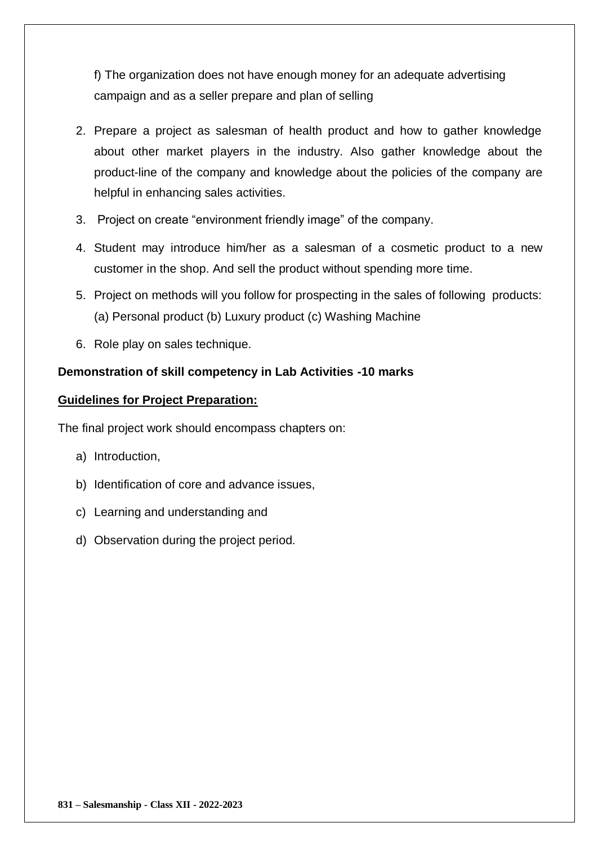f) The organization does not have enough money for an adequate advertising campaign and as a seller prepare and plan of selling

- 2. Prepare a project as salesman of health product and how to gather knowledge about other market players in the industry. Also gather knowledge about the product-line of the company and knowledge about the policies of the company are helpful in enhancing sales activities.
- 3. Project on create "environment friendly image" of the company.
- 4. Student may introduce him/her as a salesman of a cosmetic product to a new customer in the shop. And sell the product without spending more time.
- 5. Project on methods will you follow for prospecting in the sales of following products: (a) Personal product (b) Luxury product (c) Washing Machine
- 6. Role play on sales technique.

#### **Demonstration of skill competency in Lab Activities -10 marks**

#### **Guidelines for Project Preparation:**

The final project work should encompass chapters on:

- a) Introduction,
- b) Identification of core and advance issues,
- c) Learning and understanding and
- d) Observation during the project period.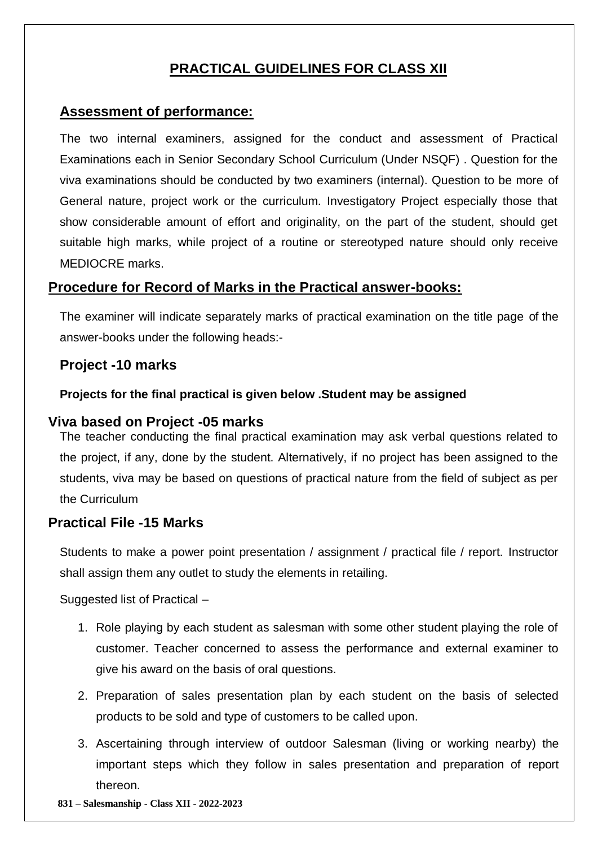## **PRACTICAL GUIDELINES FOR CLASS XII**

## **Assessment of performance:**

The two internal examiners, assigned for the conduct and assessment of Practical Examinations each in Senior Secondary School Curriculum (Under NSQF) . Question for the viva examinations should be conducted by two examiners (internal). Question to be more of General nature, project work or the curriculum. Investigatory Project especially those that show considerable amount of effort and originality, on the part of the student, should get suitable high marks, while project of a routine or stereotyped nature should only receive MEDIOCRE marks.

## **Procedure for Record of Marks in the Practical answer-books:**

The examiner will indicate separately marks of practical examination on the title page of the answer-books under the following heads:-

### **Project -10 marks**

#### **Projects for the final practical is given below .Student may be assigned**

#### **Viva based on Project -05 marks**

The teacher conducting the final practical examination may ask verbal questions related to the project, if any, done by the student. Alternatively, if no project has been assigned to the students, viva may be based on questions of practical nature from the field of subject as per the Curriculum

#### **Practical File -15 Marks**

Students to make a power point presentation / assignment / practical file / report. Instructor shall assign them any outlet to study the elements in retailing.

Suggested list of Practical -

- 1. Role playing by each student as salesman with some other student playing the role of customer. Teacher concerned to assess the performance and external examiner to give his award on the basis of oral questions.
- 2. Preparation of sales presentation plan by each student on the basis of selected products to be sold and type of customers to be called upon.
- 3. Ascertaining through interview of outdoor Salesman (living or working nearby) the important steps which they follow in sales presentation and preparation of report thereon.